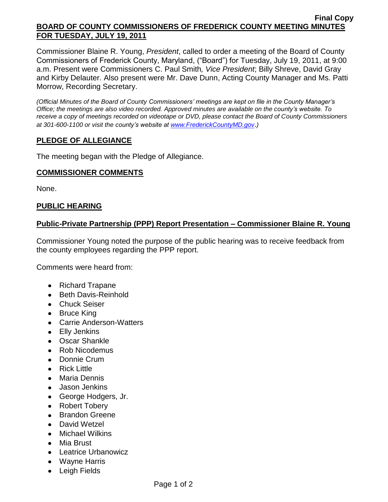#### **Final Copy BOARD OF COUNTY COMMISSIONERS OF FREDERICK COUNTY MEETING MINUTES FOR TUESDAY, JULY 19, 2011**

Commissioner Blaine R. Young, *President*, called to order a meeting of the Board of County Commissioners of Frederick County, Maryland, ("Board") for Tuesday, July 19, 2011, at 9:00 a.m. Present were Commissioners C. Paul Smith*, Vice President*; Billy Shreve, David Gray and Kirby Delauter. Also present were Mr. Dave Dunn, Acting County Manager and Ms. Patti Morrow, Recording Secretary.

*(Official Minutes of the Board of County Commissioners' meetings are kept on file in the County Manager's Office; the meetings are also video recorded. Approved minutes are available on the county's website. To receive a copy of meetings recorded on videotape or DVD, please contact the Board of County Commissioners at 301-600-1100 or visit the county's website at [www.FrederickCountyMD.gov](http://www.frederickcountymd.gov/)*.*)*

# **PLEDGE OF ALLEGIANCE**

The meeting began with the Pledge of Allegiance.

### **COMMISSIONER COMMENTS**

None.

## **PUBLIC HEARING**

### **Public-Private Partnership (PPP) Report Presentation – Commissioner Blaine R. Young**

Commissioner Young noted the purpose of the public hearing was to receive feedback from the county employees regarding the PPP report.

Comments were heard from:

- Richard Trapane
- Beth Davis-Reinhold
- Chuck Seiser
- Bruce King
- Carrie Anderson-Watters
- Elly Jenkins
- Oscar Shankle
- Rob Nicodemus  $\bullet$
- Donnie Crum
- Rick Little
- Maria Dennis
- Jason Jenkins
- George Hodgers, Jr.  $\bullet$
- Robert Toberv
- Brandon Greene
- David Wetzel  $\bullet$
- Michael Wilkins  $\bullet$
- Mia Brust
- Leatrice Urbanowicz  $\bullet$
- Wayne Harris
- Leigh Fields $\bullet$